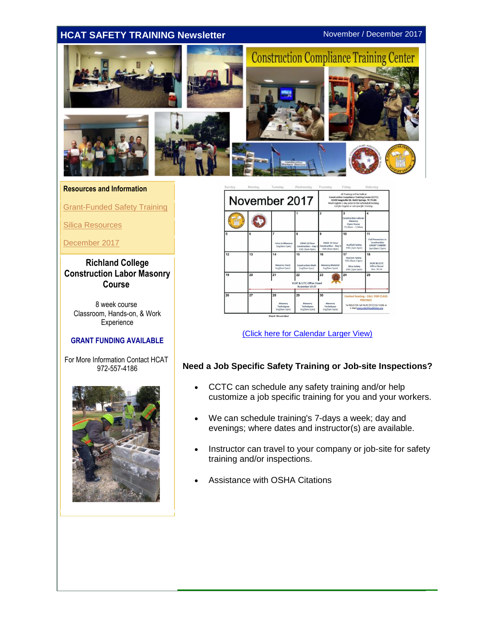## <span id="page-0-0"></span>**HCAT SAFETY TRAINING Newsletter** November / December 2017



#### **Resources and Information**

[Grant-Funded Safety Training](#page-0-0)

[Silica Resources](#page-1-0)

[December 2017](#page-1-0)

**Richland College Construction Labor Masonry Course**

8 week course Classroom, Hands-on, & Work **Experience** 

### **GRANT FUNDING AVAILABLE**

For More Information Contact HCAT 972-557-4186





[\(Click here for Calendar Larger View\)](http://r20.rs6.net/tn.jsp?t=hans6w8ab.0.0.rhdybgfab.0&id=preview&r=3&p=http%3A%2F%2Ffiles.constantcontact.com%2F1fc0c1c4101%2Fc51425cb-515c-466e-a7cf-e7781bcd22fa.pdf)

### **Need a Job Specific Safety Training or Job-site Inspections?**

- CCTC can schedule any safety training and/or help customize a job specific training for you and your workers.
- We can schedule training's 7-days a week; day and evenings; where dates and instructor(s) are available.
- Instructor can travel to your company or job-site for safety training and/or inspections.
- Assistance with OSHA Citations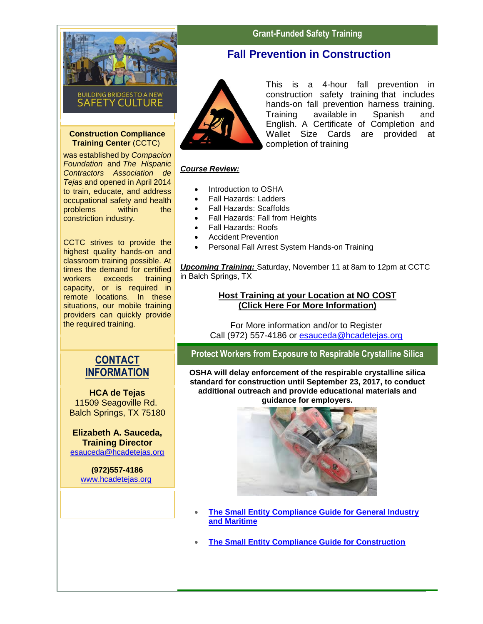<span id="page-1-0"></span>

#### **Construction Compliance Training Center** (CCTC)

was established by *Compacion Foundation* and *The Hispanic Contractors Association de Tejas* and opened in April 2014 to train, educate, and address occupational safety and health problems within the constriction industry.

CCTC strives to provide the highest quality hands-on and classroom training possible. At times the demand for certified workers exceeds training capacity, or is required in remote locations. In these situations, our mobile training providers can quickly provide the required training.

# **CONTACT INFORMATION**

**HCA de Tejas** 11509 Seagoville Rd. Balch Springs, TX 75180

**Elizabeth A. Sauceda, Training Director** [esauceda@hcadetejas.org](mailto:esauceda@hcadetejas.org)

> **(972)557-4186** [www.hcadetejas.org](http://r20.rs6.net/tn.jsp?t=hans6w8ab.0.0.rhdybgfab.0&id=preview&r=3&p=http%3A%2F%2Fwww.hcadetejas.org)

# **Grant-Funded Safety Training**

## **Fall Prevention in Construction**



This is a 4-hour fall prevention in construction safety training that includes hands-on fall prevention harness training. Training available in Spanish and English. A Certificate of Completion and Wallet Size Cards are provided at completion of training

## *Course Review:*

- Introduction to OSHA
- Fall Hazards: Ladders
- Fall Hazards: Scaffolds
- Fall Hazards: Fall from Heights
- Fall Hazards: Roofs
- Accident Prevention
- Personal Fall Arrest System Hands-on Training

*Upcoming Training:* Saturday, November 11 at 8am to 12pm at CCTC in Balch Springs, TX

## **[Host Training at your Location at NO COST](http://r20.rs6.net/tn.jsp?t=hans6w8ab.0.0.rhdybgfab.0&id=preview&r=3&p=http%3A%2F%2Ffiles.constantcontact.com%2F1fc0c1c4101%2F9c493021-97b8-42ba-85a4-875d5c9d65d9.pdf) [\(Click Here For More Information\)](http://r20.rs6.net/tn.jsp?t=hans6w8ab.0.0.rhdybgfab.0&id=preview&r=3&p=http%3A%2F%2Ffiles.constantcontact.com%2F1fc0c1c4101%2F9c493021-97b8-42ba-85a4-875d5c9d65d9.pdf)**

For More information and/or to Register Call (972) 557-4186 or [esauceda@hcadetejas.org](mailto:esauceda@hcadetejas.org)

**Protect Workers from Exposure to Respirable Crystalline Silica**

**OSHA will delay enforcement of the respirable crystalline silica standard for construction until September 23, 2017, to conduct additional outreach and provide educational materials and guidance for employers.**



- **[The Small Entity Compliance Guide for General Industry](http://r20.rs6.net/tn.jsp?t=hans6w8ab.0.0.rhdybgfab.0&id=preview&r=3&p=https%3A%2F%2Fwww.osha.gov%2FPublications%2FOSHA3911.pdf)  [and Maritime](http://r20.rs6.net/tn.jsp?t=hans6w8ab.0.0.rhdybgfab.0&id=preview&r=3&p=https%3A%2F%2Fwww.osha.gov%2FPublications%2FOSHA3911.pdf)**
- **[The Small Entity Compliance Guide for Construction](http://r20.rs6.net/tn.jsp?t=hans6w8ab.0.0.rhdybgfab.0&id=preview&r=3&p=https%3A%2F%2Fwww.osha.gov%2FPublications%2FOSHA3902.pdf)**